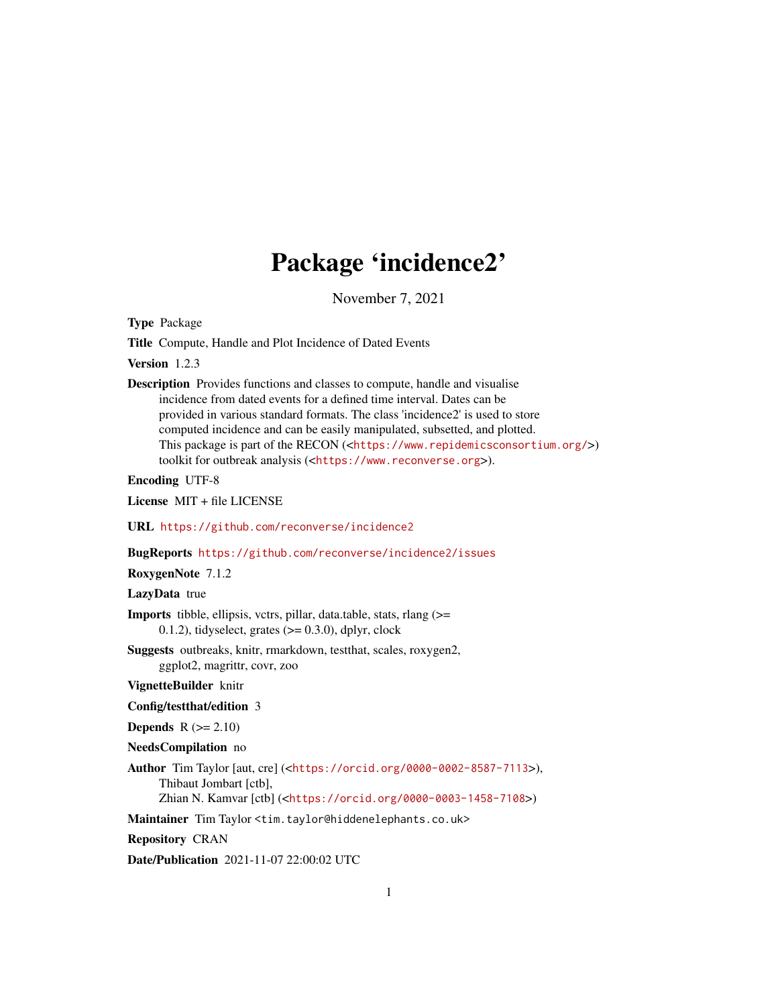# Package 'incidence2'

November 7, 2021

<span id="page-0-0"></span>Type Package

Title Compute, Handle and Plot Incidence of Dated Events

Version 1.2.3

Description Provides functions and classes to compute, handle and visualise incidence from dated events for a defined time interval. Dates can be provided in various standard formats. The class 'incidence2' is used to store computed incidence and can be easily manipulated, subsetted, and plotted. This package is part of the RECON (<<https://www.repidemicsconsortium.org/>>) toolkit for outbreak analysis (<<https://www.reconverse.org>>).

Encoding UTF-8

License MIT + file LICENSE

URL <https://github.com/reconverse/incidence2>

BugReports <https://github.com/reconverse/incidence2/issues>

RoxygenNote 7.1.2

LazyData true

- Imports tibble, ellipsis, vctrs, pillar, data.table, stats, rlang (>= 0.1.2), tidyselect, grates  $(>= 0.3.0)$ , dplyr, clock
- Suggests outbreaks, knitr, rmarkdown, testthat, scales, roxygen2, ggplot2, magrittr, covr, zoo

VignetteBuilder knitr

Config/testthat/edition 3

Depends  $R (= 2.10)$ 

NeedsCompilation no

Author Tim Taylor [aut, cre] (<<https://orcid.org/0000-0002-8587-7113>>), Thibaut Jombart [ctb], Zhian N. Kamvar [ctb] (<<https://orcid.org/0000-0003-1458-7108>>)

Maintainer Tim Taylor <tim.taylor@hiddenelephants.co.uk>

Repository CRAN

Date/Publication 2021-11-07 22:00:02 UTC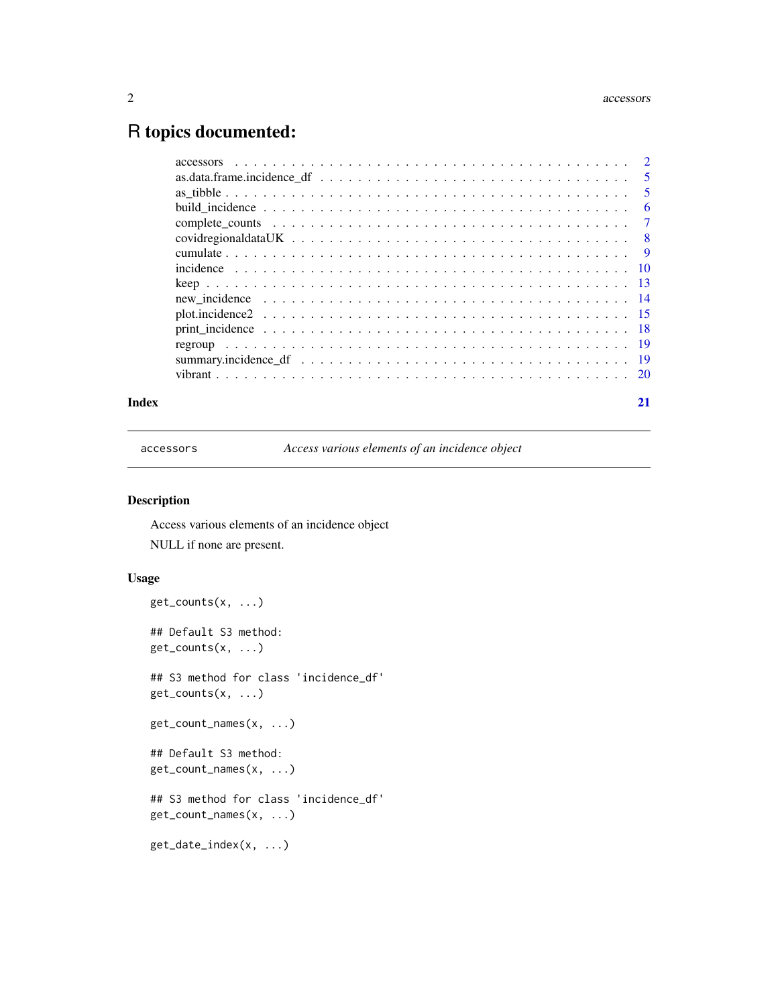#### <span id="page-1-0"></span>2 accessors and  $\alpha$  accessors and  $\alpha$  accessors and  $\alpha$  accessors are  $\alpha$  accessors and  $\alpha$  accessors and  $\alpha$

# R topics documented:

| Index | 21 |
|-------|----|

accessors *Access various elements of an incidence object*

# Description

Access various elements of an incidence object NULL if none are present.

```
get_counts(x, ...)
## Default S3 method:
get_counts(x, ...)
## S3 method for class 'incidence_df'
get_counts(x, ...)
get_count_names(x, ...)
## Default S3 method:
get_count_names(x, ...)
## S3 method for class 'incidence_df'
get_count_names(x, ...)
get_date_index(x, ...)
```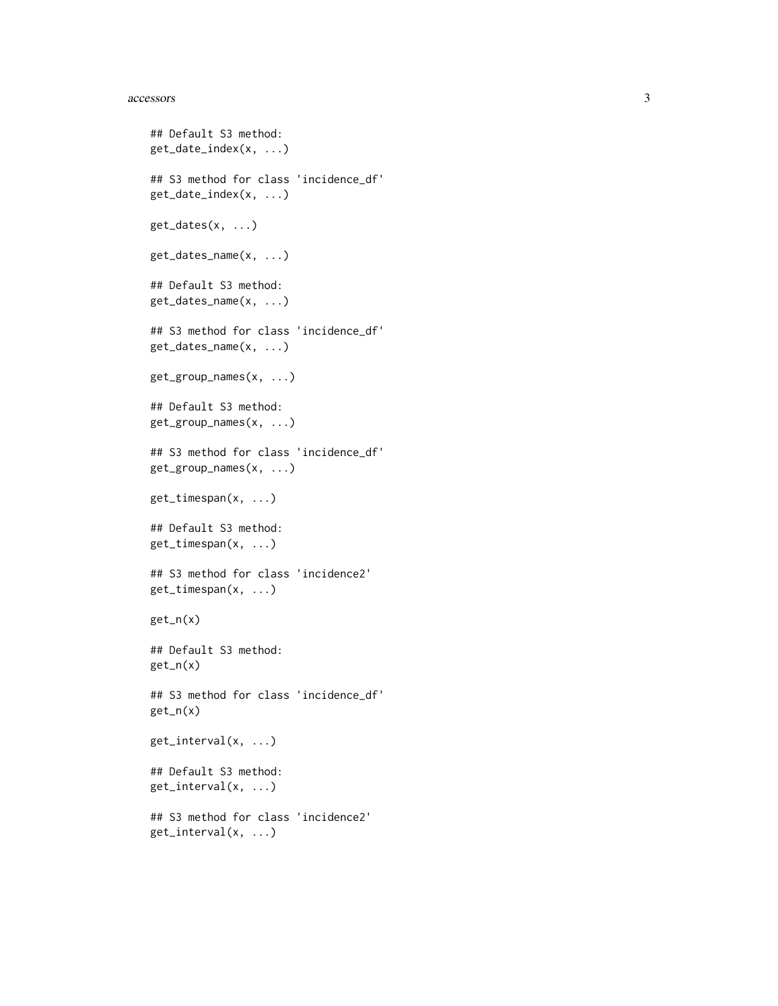#### accessors 3

```
## Default S3 method:
get_date_index(x, ...)
## S3 method for class 'incidence_df'
get_date_index(x, ...)
get_dates(x, ...)
get_dates_name(x, ...)
## Default S3 method:
get_dates_name(x, ...)
## S3 method for class 'incidence_df'
get_dates_name(x, ...)
get_group_names(x, ...)
## Default S3 method:
get_group_names(x, ...)
## S3 method for class 'incidence_df'
get_group_names(x, ...)
get_timespan(x, ...)
## Default S3 method:
get_timespan(x, ...)
## S3 method for class 'incidence2'
get_timespan(x, ...)
get_n(x)
## Default S3 method:
get_n(x)
## S3 method for class 'incidence_df'
get_n(x)
get_interval(x, ...)
## Default S3 method:
get_interval(x, ...)
## S3 method for class 'incidence2'
get_interval(x, ...)
```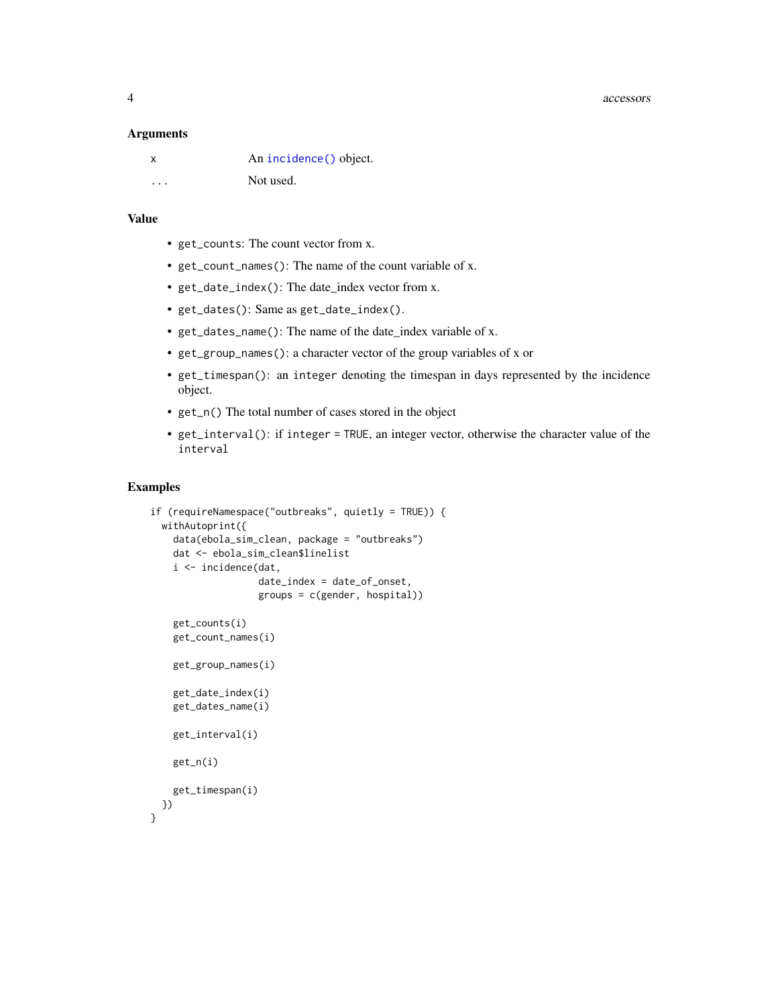<span id="page-3-0"></span>4 accessors

#### **Arguments**

|   | An incidence () object. |
|---|-------------------------|
| . | Not used.               |

# Value

- get\_counts: The count vector from x.
- get\_count\_names(): The name of the count variable of x.
- get\_date\_index(): The date\_index vector from x.
- get\_dates(): Same as get\_date\_index().
- get\_dates\_name(): The name of the date\_index variable of x.
- get\_group\_names(): a character vector of the group variables of x or
- get\_timespan(): an integer denoting the timespan in days represented by the incidence object.
- get\_n() The total number of cases stored in the object
- get\_interval(): if integer = TRUE, an integer vector, otherwise the character value of the interval

#### Examples

```
if (requireNamespace("outbreaks", quietly = TRUE)) {
 withAutoprint({
   data(ebola_sim_clean, package = "outbreaks")
   dat <- ebola_sim_clean$linelist
   i <- incidence(dat,
                  date_index = date_of_onset,
                   groups = c(gender, hospital))
    get_counts(i)
   get_count_names(i)
   get_group_names(i)
    get_date_index(i)
   get_dates_name(i)
   get_interval(i)
   get_n(i)
    get_timespan(i)
 })
}
```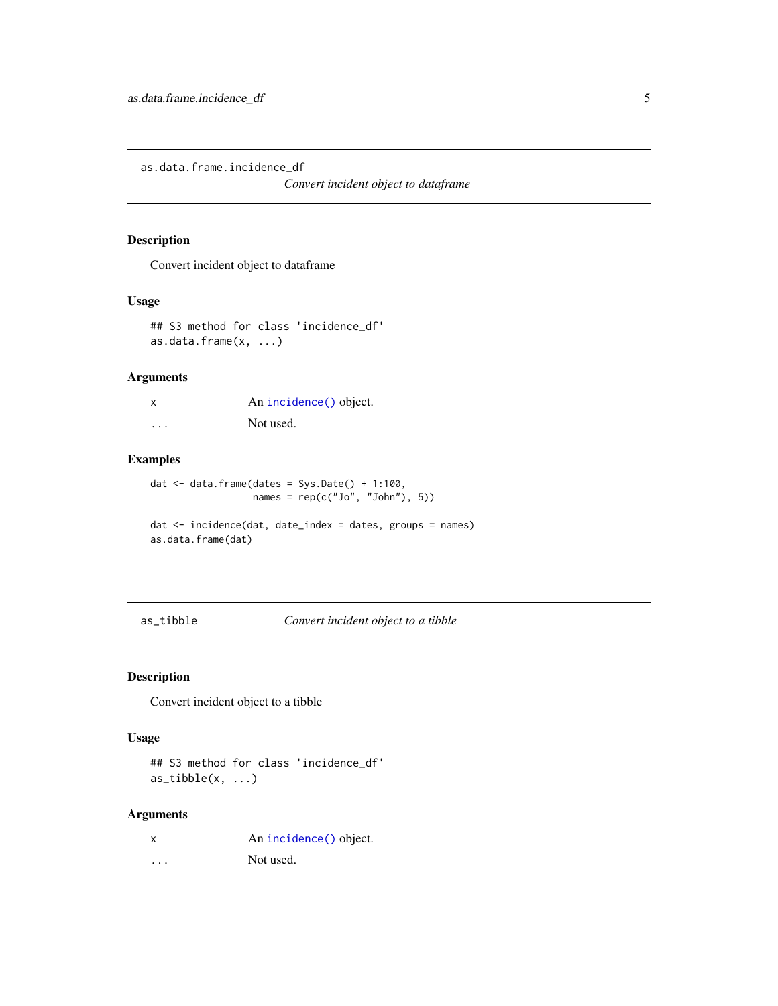<span id="page-4-0"></span>as.data.frame.incidence\_df

*Convert incident object to dataframe*

# Description

Convert incident object to dataframe

# Usage

```
## S3 method for class 'incidence_df'
as.data.frame(x, ...)
```
# Arguments

| X        | An incidence () object. |
|----------|-------------------------|
| $\cdots$ | Not used.               |

# Examples

```
dat \le data.frame(dates = Sys.Date() + 1:100,
                  names = rep(c("Jo", "John"), 5))
```
dat <- incidence(dat, date\_index = dates, groups = names) as.data.frame(dat)

as\_tibble *Convert incident object to a tibble*

# Description

Convert incident object to a tibble

#### Usage

## S3 method for class 'incidence\_df'  $as\_tibble(x, ...)$ 

| x | An incidence () object. |
|---|-------------------------|
| . | Not used.               |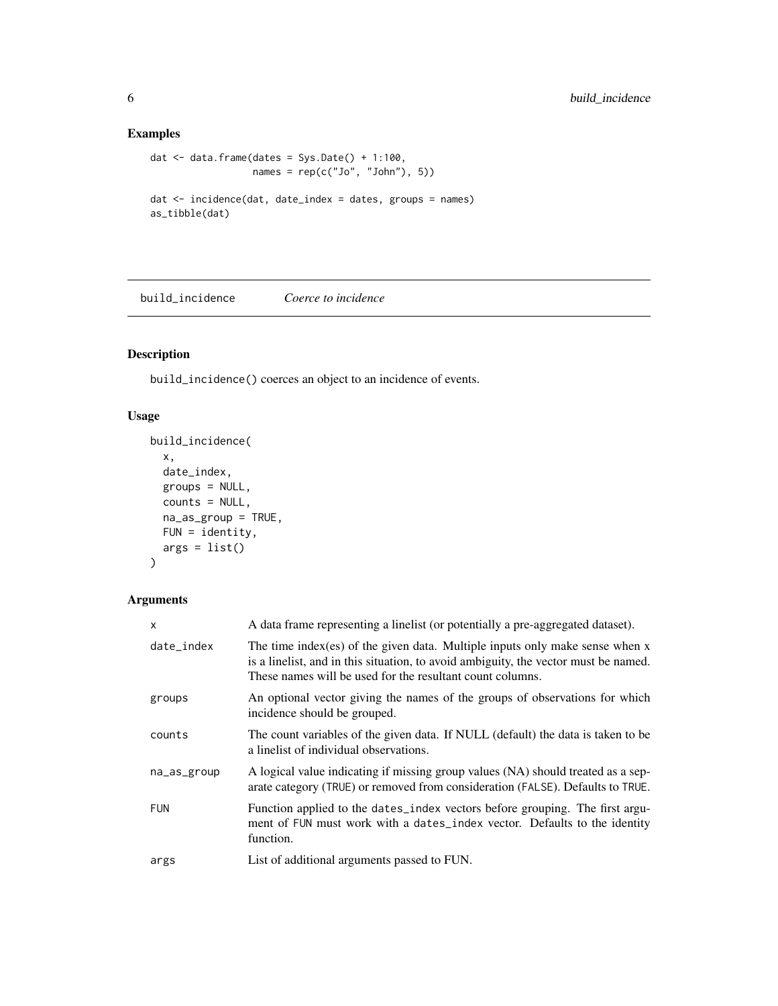# Examples

```
dat \leq data.frame(dates = Sys.Date() + 1:100,
                 names = rep(c("Jo", "John"), 5))dat <- incidence(dat, date_index = dates, groups = names)
as_tibble(dat)
```
<span id="page-5-1"></span>build\_incidence *Coerce to incidence*

# Description

build\_incidence() coerces an object to an incidence of events.

# Usage

```
build_incidence(
 x,
 date_index,
 groups = NULL,
 counts = NULL,
 na_as_group = TRUE,
 FUN = identity,
 args = list()\mathcal{L}
```

| x           | A data frame representing a linelist (or potentially a pre-aggregated dataset).                                                                                                                                                     |
|-------------|-------------------------------------------------------------------------------------------------------------------------------------------------------------------------------------------------------------------------------------|
| date_index  | The time index (es) of the given data. Multiple inputs only make sense when $x$<br>is a linelist, and in this situation, to avoid ambiguity, the vector must be named.<br>These names will be used for the resultant count columns. |
| groups      | An optional vector giving the names of the groups of observations for which<br>incidence should be grouped.                                                                                                                         |
| counts      | The count variables of the given data. If NULL (default) the data is taken to be<br>a linelist of individual observations.                                                                                                          |
| na_as_group | A logical value indicating if missing group values (NA) should treated as a sep-<br>arate category (TRUE) or removed from consideration (FALSE). Defaults to TRUE.                                                                  |
| <b>FUN</b>  | Function applied to the dates_index vectors before grouping. The first argu-<br>ment of FUN must work with a dates_index vector. Defaults to the identity<br>function.                                                              |
| args        | List of additional arguments passed to FUN.                                                                                                                                                                                         |

<span id="page-5-0"></span>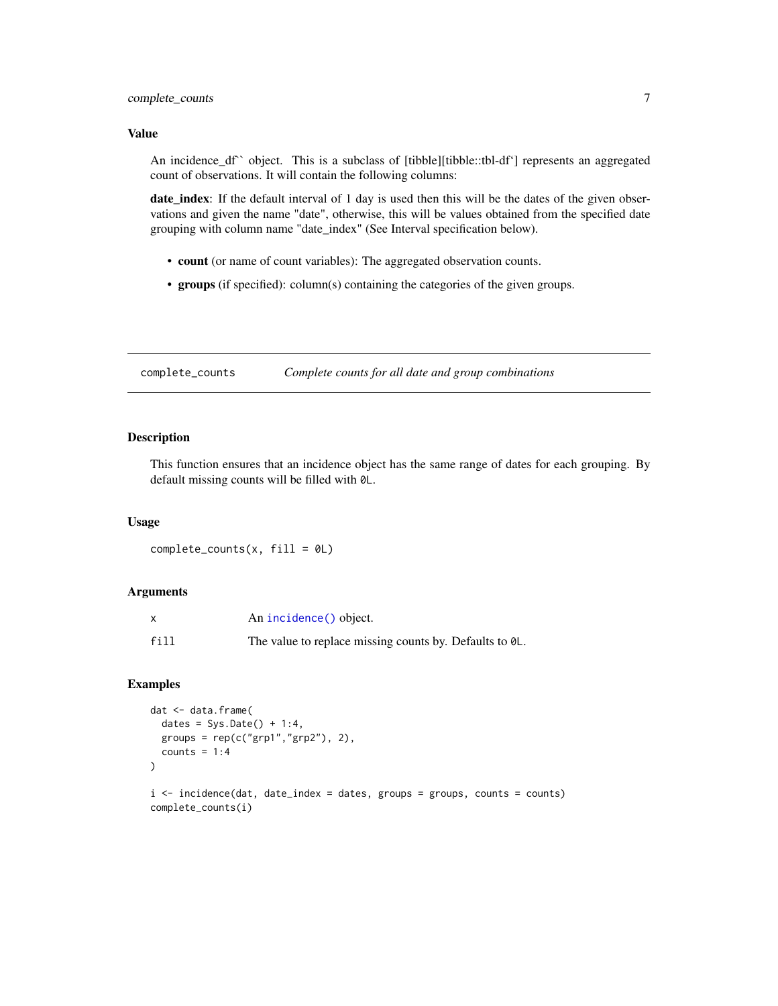#### <span id="page-6-0"></span>Value

An incidence\_df`` object. This is a subclass of [tibble][tibble::tbl-df'] represents an aggregated count of observations. It will contain the following columns:

date\_index: If the default interval of 1 day is used then this will be the dates of the given observations and given the name "date", otherwise, this will be values obtained from the specified date grouping with column name "date\_index" (See Interval specification below).

- count (or name of count variables): The aggregated observation counts.
- groups (if specified): column(s) containing the categories of the given groups.

complete\_counts *Complete counts for all date and group combinations*

# Description

This function ensures that an incidence object has the same range of dates for each grouping. By default missing counts will be filled with 0L.

#### Usage

 $complete_counts(x, fill = 0L)$ 

#### Arguments

|      | An incidence () object.                                 |
|------|---------------------------------------------------------|
| fill | The value to replace missing counts by. Defaults to 0L. |

# Examples

```
dat <- data.frame(
 dates = Sys.Date() + 1:4,groups = rep(c("grp1", "grp2"), 2),counts = 1:4)
i \le incidence(dat, date_index = dates, groups = groups, counts = counts)
complete_counts(i)
```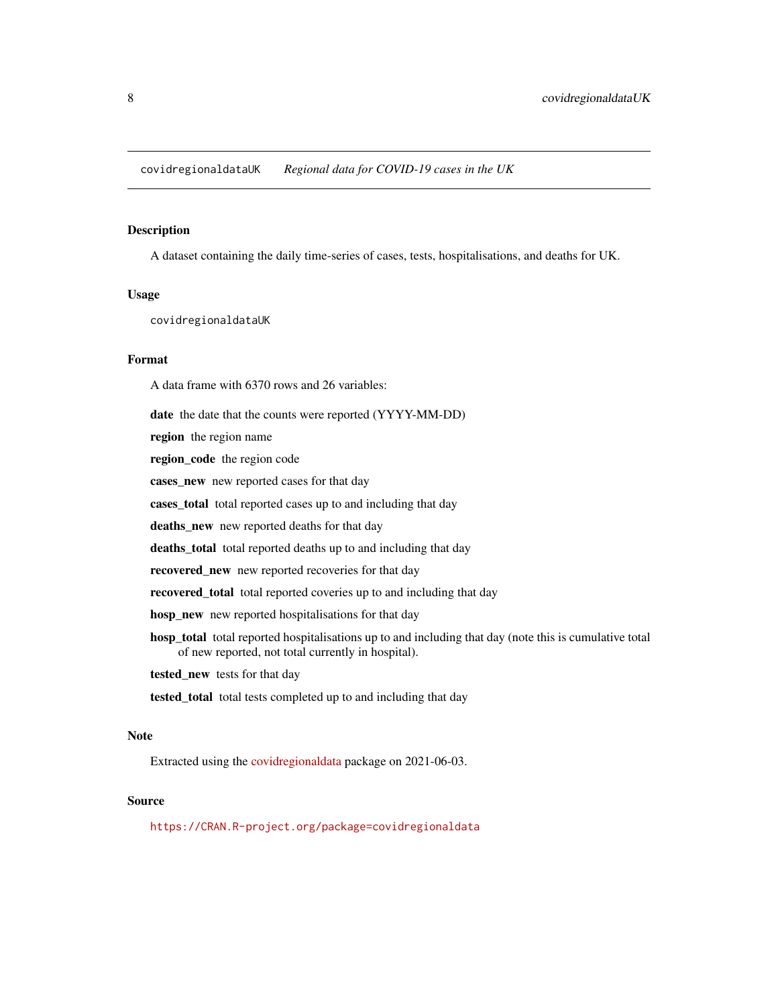<span id="page-7-0"></span>A dataset containing the daily time-series of cases, tests, hospitalisations, and deaths for UK.

#### Usage

covidregionaldataUK

# Format

A data frame with 6370 rows and 26 variables:

date the date that the counts were reported (YYYY-MM-DD)

region the region name

region\_code the region code

cases\_new new reported cases for that day

cases\_total total reported cases up to and including that day

deaths\_new new reported deaths for that day

deaths\_total total reported deaths up to and including that day

recovered\_new new reported recoveries for that day

recovered\_total total reported coveries up to and including that day

hosp\_new new reported hospitalisations for that day

hosp total total reported hospitalisations up to and including that day (note this is cumulative total of new reported, not total currently in hospital).

tested\_new tests for that day

tested\_total total tests completed up to and including that day

# Note

Extracted using the [covidregionaldata](https://CRAN.R-project.org/package=covidregionaldata) package on 2021-06-03.

#### Source

<https://CRAN.R-project.org/package=covidregionaldata>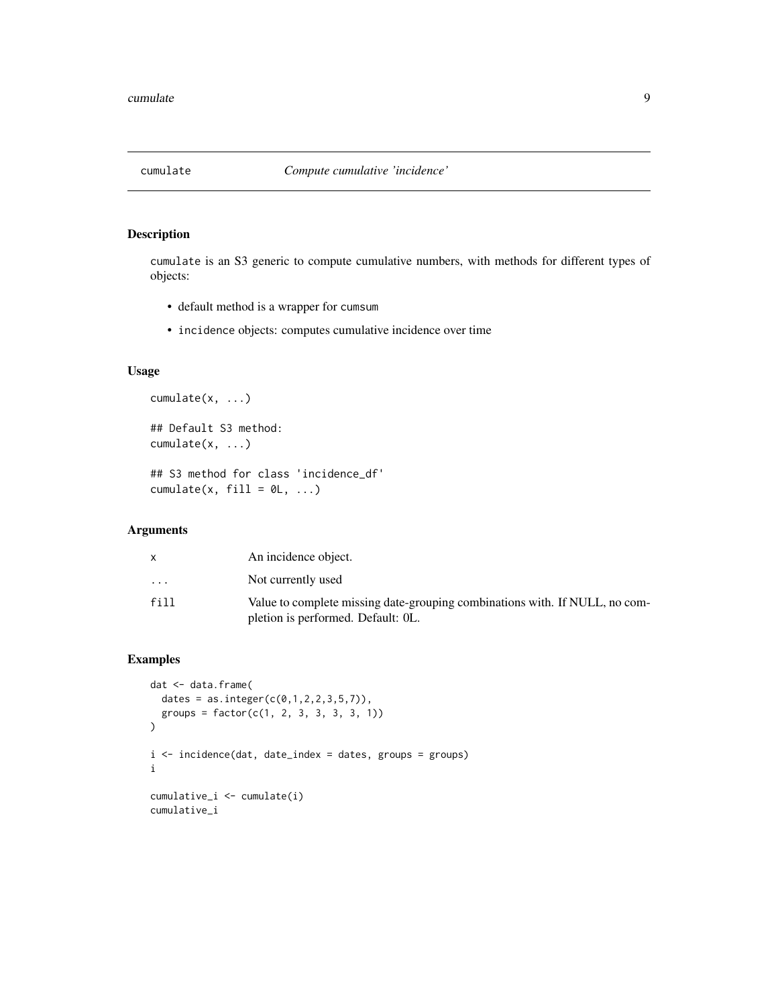<span id="page-8-0"></span>

cumulate is an S3 generic to compute cumulative numbers, with methods for different types of objects:

- default method is a wrapper for cumsum
- incidence objects: computes cumulative incidence over time

# Usage

```
cumulate(x, ...)
## Default S3 method:
```
cumulate(x, ...)

```
## S3 method for class 'incidence_df'
cumulate(x, fill = \emptyset L, ...)
```
# Arguments

|                         | An incidence object.                                                                                              |
|-------------------------|-------------------------------------------------------------------------------------------------------------------|
| $\cdot$ $\cdot$ $\cdot$ | Not currently used                                                                                                |
| fill                    | Value to complete missing date-grouping combinations with. If NULL, no com-<br>pletion is performed. Default: OL. |

# Examples

```
dat <- data.frame(
 dates = as.integer(c(0,1,2,2,3,5,7)),
  groups = factor(c(1, 2, 3, 3, 3, 3, 1))\mathcal{L}i <- incidence(dat, date_index = dates, groups = groups)
i
cumulative_i <- cumulate(i)
cumulative_i
```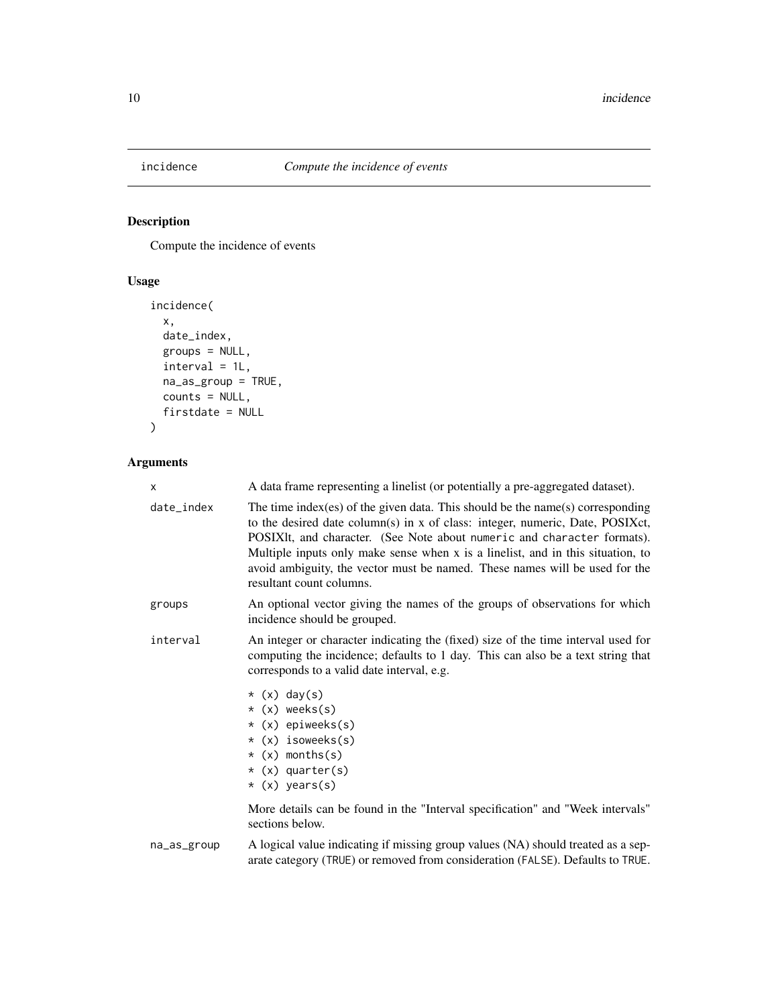<span id="page-9-1"></span><span id="page-9-0"></span>

Compute the incidence of events

# Usage

```
incidence(
  x,
  date_index,
  groups = NULL,
  interval = 1L,
  na_as_group = TRUE,
  counts = NULL,
  firstdate = NULL
\mathcal{L}
```

| X           | A data frame representing a linelist (or potentially a pre-aggregated dataset).                                                                                                                                                                                                                                                                                                                                                           |  |  |
|-------------|-------------------------------------------------------------------------------------------------------------------------------------------------------------------------------------------------------------------------------------------------------------------------------------------------------------------------------------------------------------------------------------------------------------------------------------------|--|--|
| date_index  | The time index (es) of the given data. This should be the name(s) corresponding<br>to the desired date column(s) in x of class: integer, numeric, Date, POSIXct,<br>POSIXIt, and character. (See Note about numeric and character formats).<br>Multiple inputs only make sense when x is a linelist, and in this situation, to<br>avoid ambiguity, the vector must be named. These names will be used for the<br>resultant count columns. |  |  |
| groups      | An optional vector giving the names of the groups of observations for which<br>incidence should be grouped.                                                                                                                                                                                                                                                                                                                               |  |  |
| interval    | An integer or character indicating the (fixed) size of the time interval used for<br>computing the incidence; defaults to 1 day. This can also be a text string that<br>corresponds to a valid date interval, e.g.                                                                                                                                                                                                                        |  |  |
|             | $*(x)$ day(s)<br>$*(x)$ weeks(s)<br>* (x) epiweeks(s)<br>* (x) isoweeks(s)<br>$\star$ (x) months(s)<br>$*(x)$ quarter(s)<br>$*(x)$ years(s)                                                                                                                                                                                                                                                                                               |  |  |
|             | More details can be found in the "Interval specification" and "Week intervals"<br>sections below.                                                                                                                                                                                                                                                                                                                                         |  |  |
| na_as_group | A logical value indicating if missing group values (NA) should treated as a sep-                                                                                                                                                                                                                                                                                                                                                          |  |  |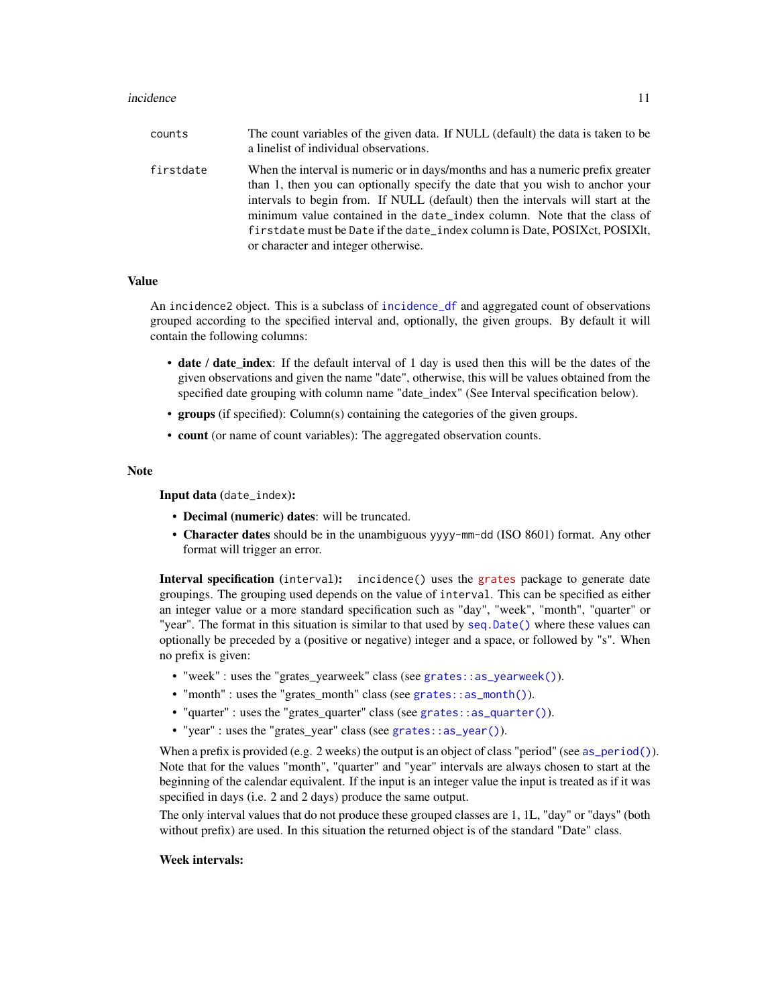#### <span id="page-10-0"></span>incidence 11

| counts    | The count variables of the given data. If NULL (default) the data is taken to be<br>a linelist of individual observations.                                                                                                                                                                                                                                                                                                                           |
|-----------|------------------------------------------------------------------------------------------------------------------------------------------------------------------------------------------------------------------------------------------------------------------------------------------------------------------------------------------------------------------------------------------------------------------------------------------------------|
| firstdate | When the interval is numeric or in days/months and has a numeric prefix greater<br>than 1, then you can optionally specify the date that you wish to anchor your<br>intervals to begin from. If NULL (default) then the intervals will start at the<br>minimum value contained in the date_index column. Note that the class of<br>firstdate must be Date if the date_index column is Date, POSIXct, POSIXIt,<br>or character and integer otherwise. |

#### Value

An incidence2 object. This is a subclass of [incidence\\_df](#page-5-1) and aggregated count of observations grouped according to the specified interval and, optionally, the given groups. By default it will contain the following columns:

- date / date\_index: If the default interval of 1 day is used then this will be the dates of the given observations and given the name "date", otherwise, this will be values obtained from the specified date grouping with column name "date index" (See Interval specification below).
- groups (if specified): Column(s) containing the categories of the given groups.
- count (or name of count variables): The aggregated observation counts.

#### Note

Input data (date\_index):

- Decimal (numeric) dates: will be truncated.
- Character dates should be in the unambiguous yyyy-mm-dd (ISO 8601) format. Any other format will trigger an error.

Interval specification (interval): incidence() uses the [grates](https://cran.r-project.org/package=grates) package to generate date groupings. The grouping used depends on the value of interval. This can be specified as either an integer value or a more standard specification such as "day", "week", "month", "quarter" or "year". The format in this situation is similar to that used by [seq.Date\(\)](#page-0-0) where these values can optionally be preceded by a (positive or negative) integer and a space, or followed by "s". When no prefix is given:

- "week" : uses the "grates\_yearweek" class (see [grates::as\\_yearweek\(\)](#page-0-0)).
- "month" : uses the "grates\_month" class (see [grates::as\\_month\(\)](#page-0-0)).
- "quarter" : uses the "grates\_quarter" class (see [grates::as\\_quarter\(\)](#page-0-0)).
- "year": uses the "grates year" class (see [grates::as\\_year\(\)](#page-0-0)).

When a prefix is provided (e.g. 2 weeks) the output is an object of class "period" (see [as\\_period\(\)](#page-0-0)). Note that for the values "month", "quarter" and "year" intervals are always chosen to start at the beginning of the calendar equivalent. If the input is an integer value the input is treated as if it was specified in days (i.e. 2 and 2 days) produce the same output.

The only interval values that do not produce these grouped classes are 1, 1L, "day" or "days" (both without prefix) are used. In this situation the returned object is of the standard "Date" class.

### Week intervals: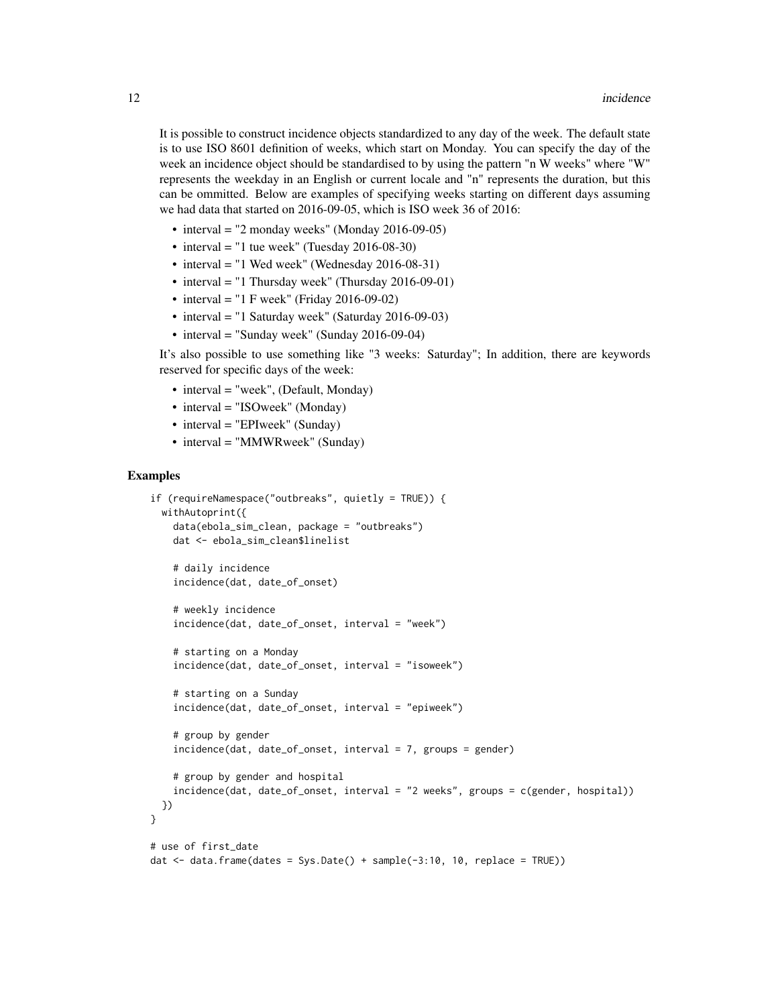It is possible to construct incidence objects standardized to any day of the week. The default state is to use ISO 8601 definition of weeks, which start on Monday. You can specify the day of the week an incidence object should be standardised to by using the pattern "n W weeks" where "W" represents the weekday in an English or current locale and "n" represents the duration, but this can be ommitted. Below are examples of specifying weeks starting on different days assuming we had data that started on 2016-09-05, which is ISO week 36 of 2016:

- interval = "2 monday weeks" (Monday 2016-09-05)
- interval = "1 tue week" (Tuesday  $2016-08-30$ )
- interval = "1 Wed week" (Wednesday 2016-08-31)
- interval = "1 Thursday week" (Thursday 2016-09-01)
- interval = "1 F week" (Friday 2016-09-02)
- interval = "1 Saturday week" (Saturday 2016-09-03)
- interval = "Sunday week" (Sunday 2016-09-04)

It's also possible to use something like "3 weeks: Saturday"; In addition, there are keywords reserved for specific days of the week:

- interval = "week", (Default, Monday)
- interval = "ISOweek" (Monday)
- interval = "EPIweek" (Sunday)
- interval = "MMWRweek" (Sunday)

#### Examples

```
if (requireNamespace("outbreaks", quietly = TRUE)) {
 withAutoprint({
    data(ebola_sim_clean, package = "outbreaks")
    dat <- ebola_sim_clean$linelist
    # daily incidence
    incidence(dat, date_of_onset)
    # weekly incidence
    incidence(dat, date_of_onset, interval = "week")
    # starting on a Monday
    incidence(dat, date_of_onset, interval = "isoweek")
    # starting on a Sunday
    incidence(dat, date_of_onset, interval = "epiweek")
    # group by gender
    incidence(dat, date_of_onset, interval = 7, groups = gender)
    # group by gender and hospital
    incidence(dat, date_of_onset, interval = "2 weeks", groups = c(gender, hospital))
 })
}
# use of first_date
dat \le - data.frame(dates = Sys.Date() + sample(-3:10, 10, replace = TRUE))
```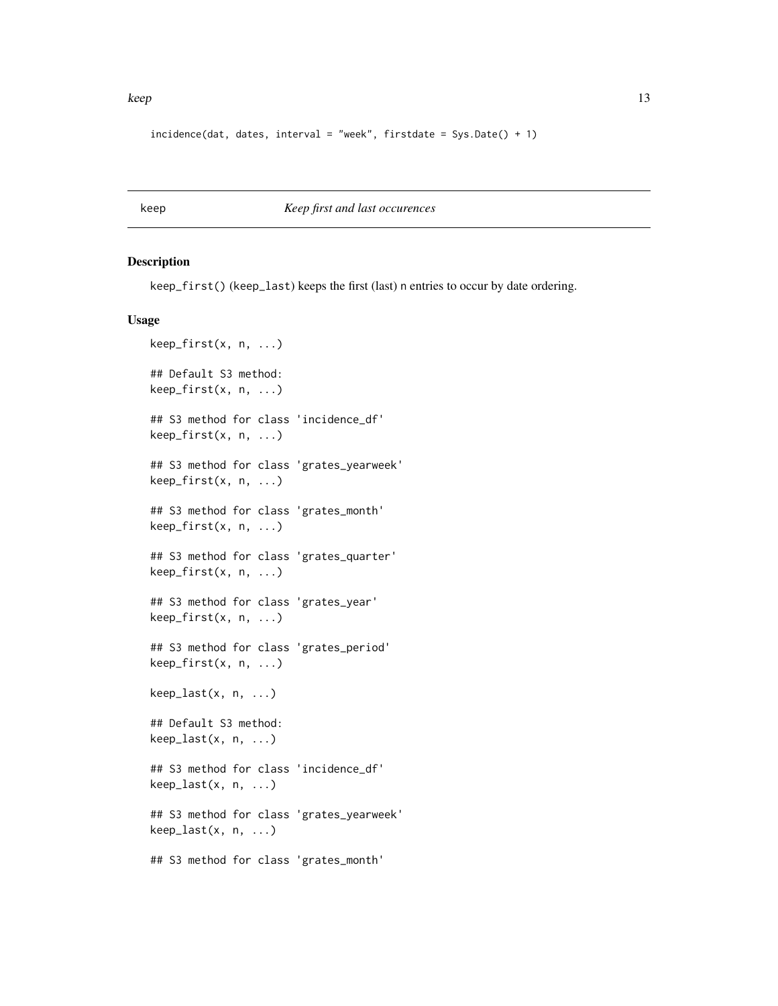```
incidence(data, dates, interval = "week", firstdate = SysDate() + 1)
```
keep *Keep first and last occurences*

#### Description

keep\_first() (keep\_last) keeps the first (last) n entries to occur by date ordering.

```
keep_first(x, n, ...)
## Default S3 method:
keep_first(x, n, ...)
## S3 method for class 'incidence_df'
keep_first(x, n, ...)
## S3 method for class 'grates_yearweek'
keep_first(x, n, ...)
## S3 method for class 'grates_month'
keep_first(x, n, ...)
## S3 method for class 'grates_quarter'
keep_first(x, n, ...)
## S3 method for class 'grates_year'
keep_first(x, n, ...)
## S3 method for class 'grates_period'
keep_first(x, n, ...)
keep\_last(x, n, ...)## Default S3 method:
keep_last(x, n, ...)
## S3 method for class 'incidence_df'
keep\_last(x, n, ...)## S3 method for class 'grates_yearweek'
keep_last(x, n, ...)
## S3 method for class 'grates_month'
```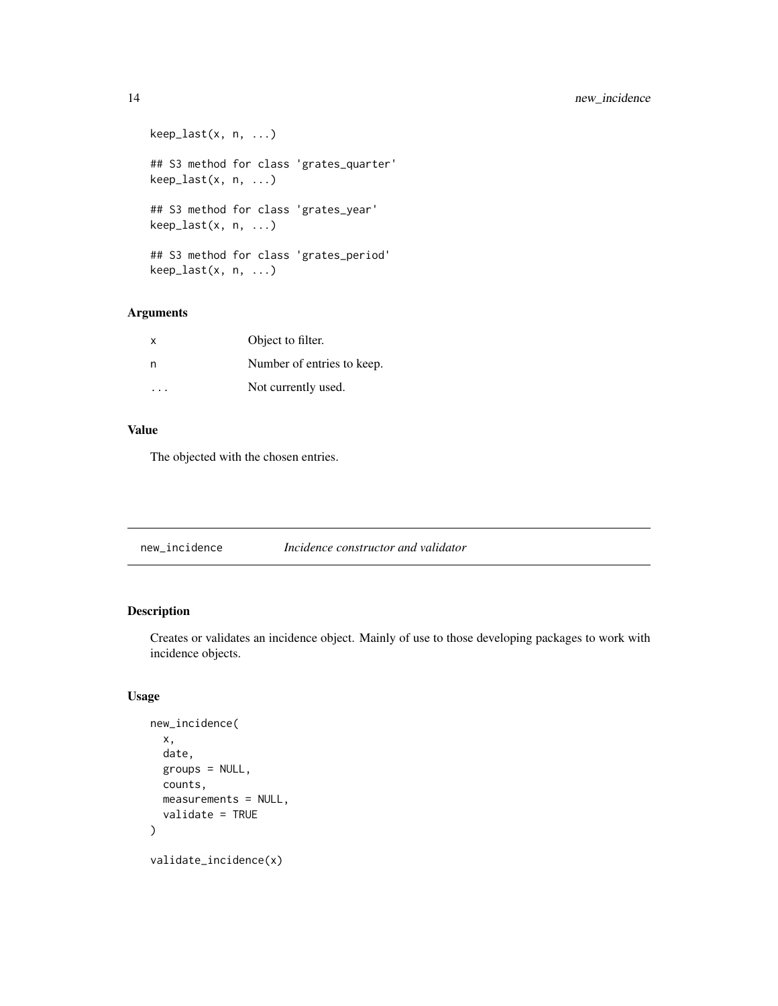<span id="page-13-0"></span>14 new\_incidence new\_incidence

```
keep_last(x, n, ...)
## S3 method for class 'grates_quarter'
keep_last(x, n, ...)
## S3 method for class 'grates_year'
keep_last(x, n, ...)
## S3 method for class 'grates_period'
keep_last(x, n, ...)
```
# Arguments

| X         | Object to filter.          |  |
|-----------|----------------------------|--|
| n         | Number of entries to keep. |  |
| $\cdot$ . | Not currently used.        |  |

# Value

The objected with the chosen entries.

new\_incidence *Incidence constructor and validator*

# Description

Creates or validates an incidence object. Mainly of use to those developing packages to work with incidence objects.

```
new_incidence(
  x,
  date,
 groups = NULL,
 counts,
 measurements = NULL,
 validate = TRUE
)
validate_incidence(x)
```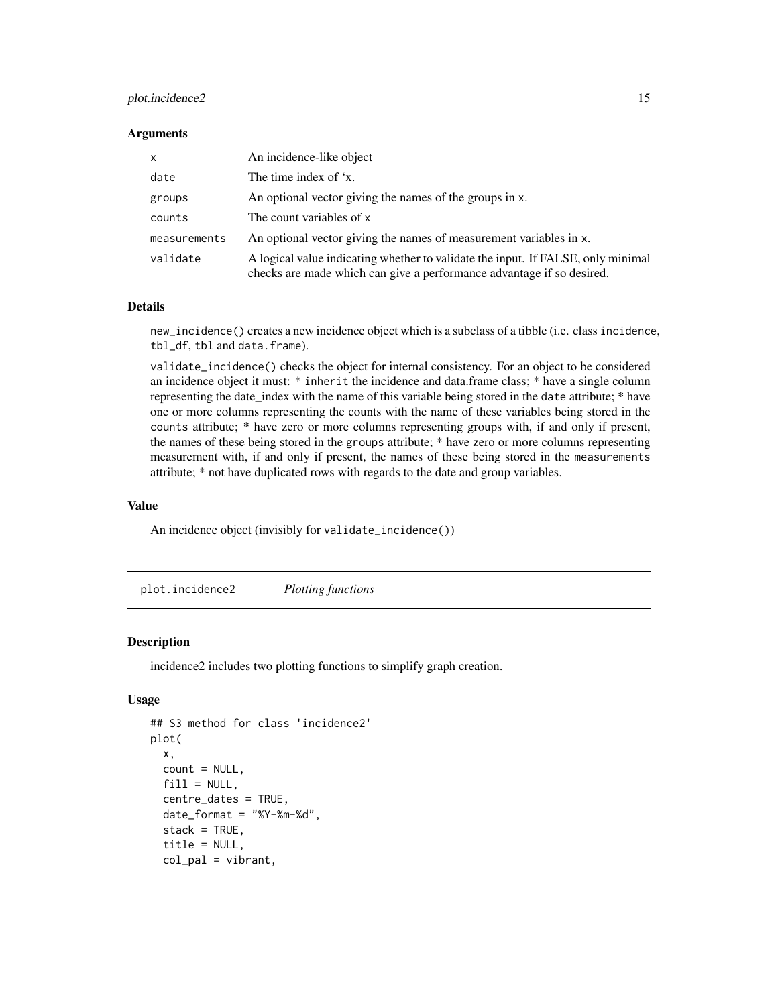# <span id="page-14-0"></span>plot.incidence2 15

#### **Arguments**

| $\mathsf{x}$ | An incidence-like object                                                                                                                                  |
|--------------|-----------------------------------------------------------------------------------------------------------------------------------------------------------|
| date         | The time index of 'x.                                                                                                                                     |
| groups       | An optional vector giving the names of the groups in x.                                                                                                   |
| counts       | The count variables of x                                                                                                                                  |
| measurements | An optional vector giving the names of measurement variables in x.                                                                                        |
| validate     | A logical value indicating whether to validate the input. If FALSE, only minimal<br>checks are made which can give a performance advantage if so desired. |

# Details

new\_incidence() creates a new incidence object which is a subclass of a tibble (i.e. class incidence, tbl\_df, tbl and data.frame).

validate\_incidence() checks the object for internal consistency. For an object to be considered an incidence object it must: \* inherit the incidence and data.frame class; \* have a single column representing the date\_index with the name of this variable being stored in the date attribute; \* have one or more columns representing the counts with the name of these variables being stored in the counts attribute; \* have zero or more columns representing groups with, if and only if present, the names of these being stored in the groups attribute; \* have zero or more columns representing measurement with, if and only if present, the names of these being stored in the measurements attribute; \* not have duplicated rows with regards to the date and group variables.

#### Value

An incidence object (invisibly for validate\_incidence())

plot.incidence2 *Plotting functions*

### Description

incidence2 includes two plotting functions to simplify graph creation.

```
## S3 method for class 'incidence2'
plot(
  x,
 count = NULL,fill = NULL,centre_dates = TRUE,
  date_format = "YY-Xm-Xd",stack = TRUE,title = NULL,
  col_pal = vibrant,
```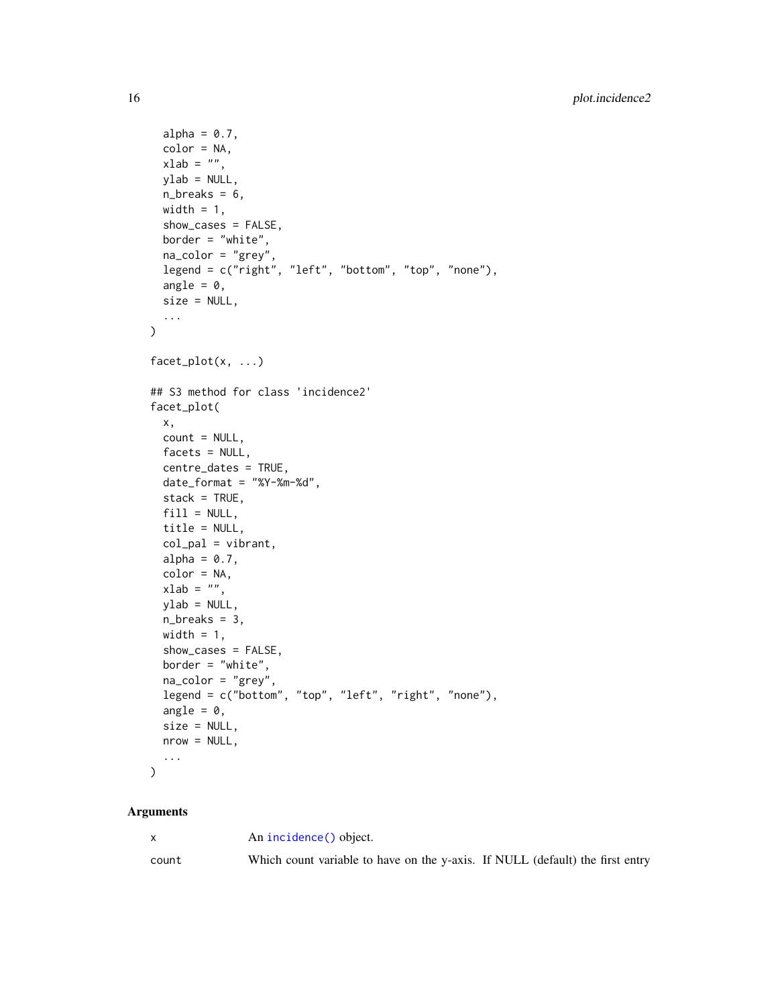```
alpha = 0.7,
 color = NA,
 xlab = "",
 ylab = NULL,
 n_breaks = 6,
 width = 1,
 show_cases = FALSE,
 border = "white",
 na_color = "grey",
 legend = c("right", "left", "bottom", "top", "none"),
 angle = \theta,
 size = NULL,
  ...
\mathcal{L}facet_plot(x, ...)
## S3 method for class 'incidence2'
facet_plot(
 x,
 count = NULL,factors = NULL,centre_dates = TRUE,
 date_format = "%Y-%m-%d",
 stack = TRUE,
 fill = NULL,title = NULL,
 col\_pal = vibrant,alpha = 0.7,
 color = NA,
 xlab = ",
 ylab = NULL,
 n_breaks = 3,
 width = 1,
  show_cases = FALSE,
 border = "white",
 na_color = "grey",
 legend = c("bottom", "top", "left", "right", "none"),
  angle = 0,
 size = NULL,
 nrow = NULL,...
\mathcal{L}
```

|       | An incidence() object.                                                        |  |  |
|-------|-------------------------------------------------------------------------------|--|--|
| count | Which count variable to have on the y-axis. If NULL (default) the first entry |  |  |

<span id="page-15-0"></span>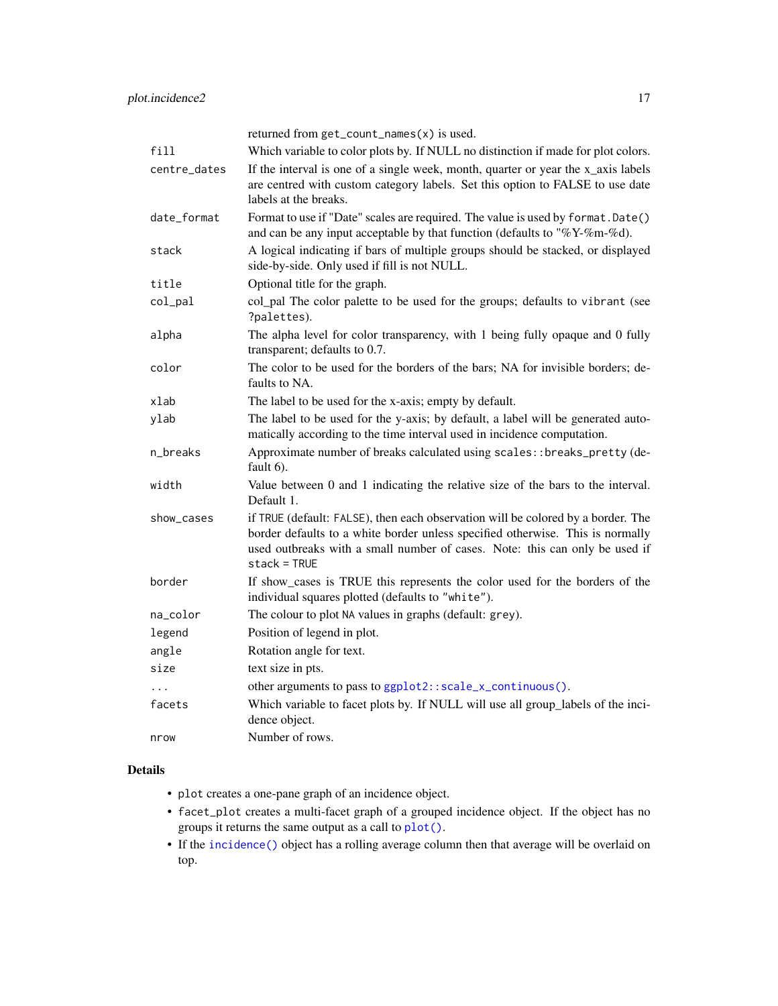<span id="page-16-0"></span>

|              | returned from get_count_names(x) is used.                                                                                                                                                                                                                           |
|--------------|---------------------------------------------------------------------------------------------------------------------------------------------------------------------------------------------------------------------------------------------------------------------|
| fill         | Which variable to color plots by. If NULL no distinction if made for plot colors.                                                                                                                                                                                   |
| centre_dates | If the interval is one of a single week, month, quarter or year the x_axis labels<br>are centred with custom category labels. Set this option to FALSE to use date<br>labels at the breaks.                                                                         |
| date_format  | Format to use if "Date" scales are required. The value is used by format. Date()<br>and can be any input acceptable by that function (defaults to "% $Y$ -%m-%d).                                                                                                   |
| stack        | A logical indicating if bars of multiple groups should be stacked, or displayed<br>side-by-side. Only used if fill is not NULL.                                                                                                                                     |
| title        | Optional title for the graph.                                                                                                                                                                                                                                       |
| col_pal      | col_pal The color palette to be used for the groups; defaults to vibrant (see<br>?palettes).                                                                                                                                                                        |
| alpha        | The alpha level for color transparency, with 1 being fully opaque and 0 fully<br>transparent; defaults to 0.7.                                                                                                                                                      |
| color        | The color to be used for the borders of the bars; NA for invisible borders; de-<br>faults to NA.                                                                                                                                                                    |
| xlab         | The label to be used for the x-axis; empty by default.                                                                                                                                                                                                              |
| ylab         | The label to be used for the y-axis; by default, a label will be generated auto-<br>matically according to the time interval used in incidence computation.                                                                                                         |
| n_breaks     | Approximate number of breaks calculated using scales:: breaks_pretty (de-<br>fault 6).                                                                                                                                                                              |
| width        | Value between 0 and 1 indicating the relative size of the bars to the interval.<br>Default 1.                                                                                                                                                                       |
| show_cases   | if TRUE (default: FALSE), then each observation will be colored by a border. The<br>border defaults to a white border unless specified otherwise. This is normally<br>used outbreaks with a small number of cases. Note: this can only be used if<br>$stack = TRUE$ |
| border       | If show_cases is TRUE this represents the color used for the borders of the<br>individual squares plotted (defaults to "white").                                                                                                                                    |
| na_color     | The colour to plot NA values in graphs (default: grey).                                                                                                                                                                                                             |
| legend       | Position of legend in plot.                                                                                                                                                                                                                                         |
| angle        | Rotation angle for text.                                                                                                                                                                                                                                            |
| size         | text size in pts.                                                                                                                                                                                                                                                   |
| .            | other arguments to pass to ggplot2::scale_x_continuous().                                                                                                                                                                                                           |
| facets       | Which variable to facet plots by. If NULL will use all group_labels of the inci-<br>dence object.                                                                                                                                                                   |
| nrow         | Number of rows.                                                                                                                                                                                                                                                     |

# Details

- plot creates a one-pane graph of an incidence object.
- facet\_plot creates a multi-facet graph of a grouped incidence object. If the object has no groups it returns the same output as a call to [plot\(\)](#page-0-0).
- If the [incidence\(\)](#page-9-1) object has a rolling average column then that average will be overlaid on top.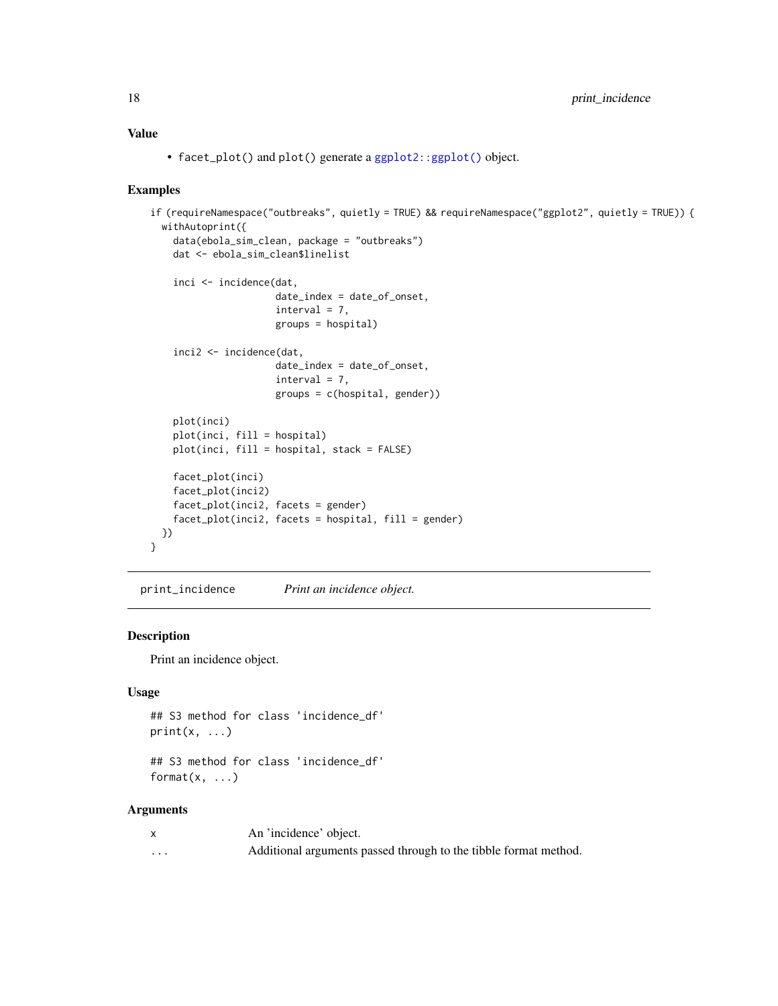# Value

• facet\_plot() and plot() generate a [ggplot2::ggplot\(\)](#page-0-0) object.

### Examples

```
if (requireNamespace("outbreaks", quietly = TRUE) && requireNamespace("ggplot2", quietly = TRUE)) {
 withAutoprint({
   data(ebola_sim_clean, package = "outbreaks")
   dat <- ebola_sim_clean$linelist
   inci <- incidence(dat,
                      date_index = date_of_onset,
                      interval = 7,
                      groups = hospital)
    inci2 <- incidence(dat,
                      date_index = date_of_onset,
                      interval = 7,
                      groups = c(hospital, gender))
   plot(inci)
   plot(inci, fill = hospital)
   plot(inci, fill = hospital, stack = FALSE)
   facet_plot(inci)
   facet_plot(inci2)
   facet_plot(inci2, facets = gender)
   facet_plot(inci2, facets = hospital, fill = gender)
 })
}
```
print\_incidence *Print an incidence object.*

# Description

Print an incidence object.

# Usage

```
## S3 method for class 'incidence_df'
print(x, \ldots)
```
## S3 method for class 'incidence\_df' format $(x, \ldots)$ 

|                         | An 'incidence' object.                                           |
|-------------------------|------------------------------------------------------------------|
| $\cdot$ $\cdot$ $\cdot$ | Additional arguments passed through to the tibble format method. |

<span id="page-17-0"></span>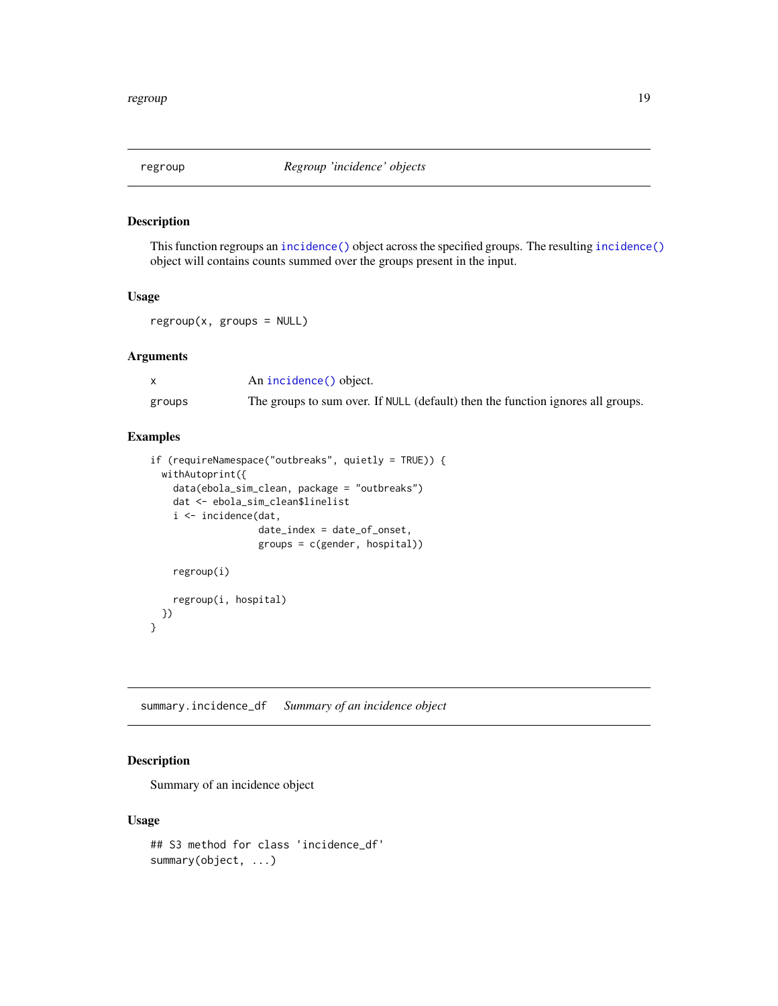<span id="page-18-0"></span>

This function regroups an [incidence\(\)](#page-9-1) object across the specified groups. The resulting [incidence\(\)](#page-9-1) object will contains counts summed over the groups present in the input.

#### Usage

 $regroup(x, groups = NULL)$ 

# Arguments

|        | An incidence() object.                                                          |
|--------|---------------------------------------------------------------------------------|
| groups | The groups to sum over. If NULL (default) then the function ignores all groups. |

# Examples

```
if (requireNamespace("outbreaks", quietly = TRUE)) {
 withAutoprint({
   data(ebola_sim_clean, package = "outbreaks")
   dat <- ebola_sim_clean$linelist
   i <- incidence(dat,
                   date_index = date_of_onset,
                   groups = c(gender, hospital))
    regroup(i)
   regroup(i, hospital)
 })
}
```
summary.incidence\_df *Summary of an incidence object*

# Description

Summary of an incidence object

```
## S3 method for class 'incidence_df'
summary(object, ...)
```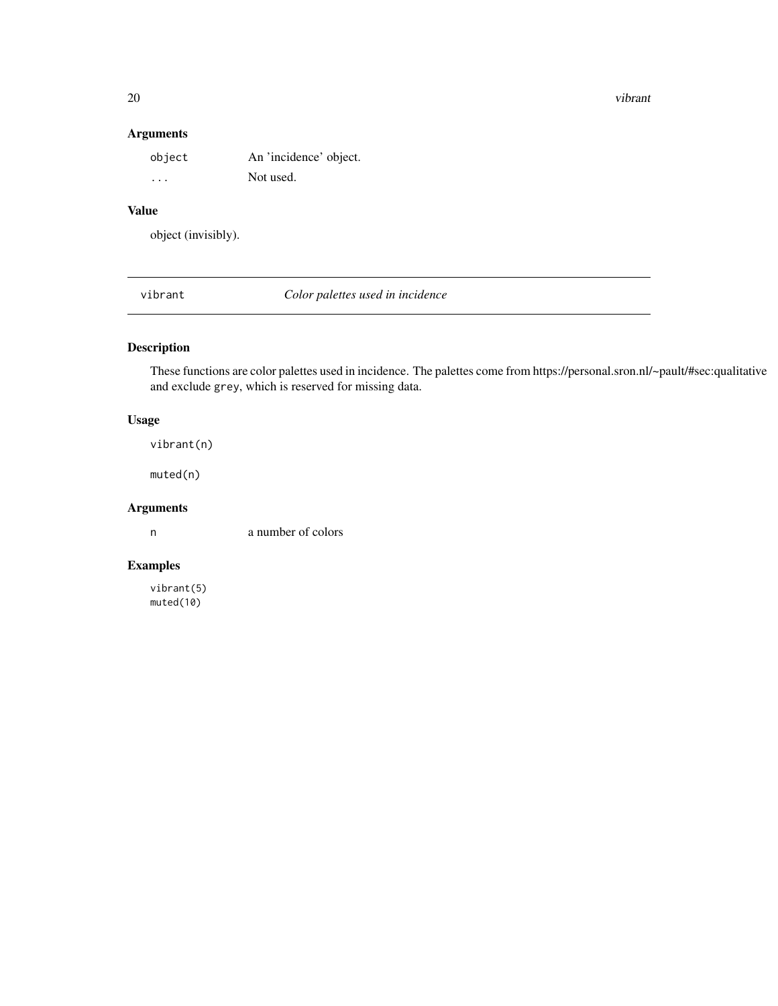20 vibrant version of the contract of the contract of the contract of the contract of the contract of the contract of the contract of the contract of the contract of the contract of the contract of the contract of the cont

# Arguments

| object  | An 'incidence' object. |
|---------|------------------------|
| $\cdot$ | Not used.              |

# Value

object (invisibly).

vibrant *Color palettes used in incidence*

# Description

These functions are color palettes used in incidence. The palettes come from https://personal.sron.nl/~pault/#sec:qualitative and exclude grey, which is reserved for missing data.

# Usage

vibrant(n)

muted(n)

# Arguments

n a number of colors

# Examples

vibrant(5) muted(10)

<span id="page-19-0"></span>